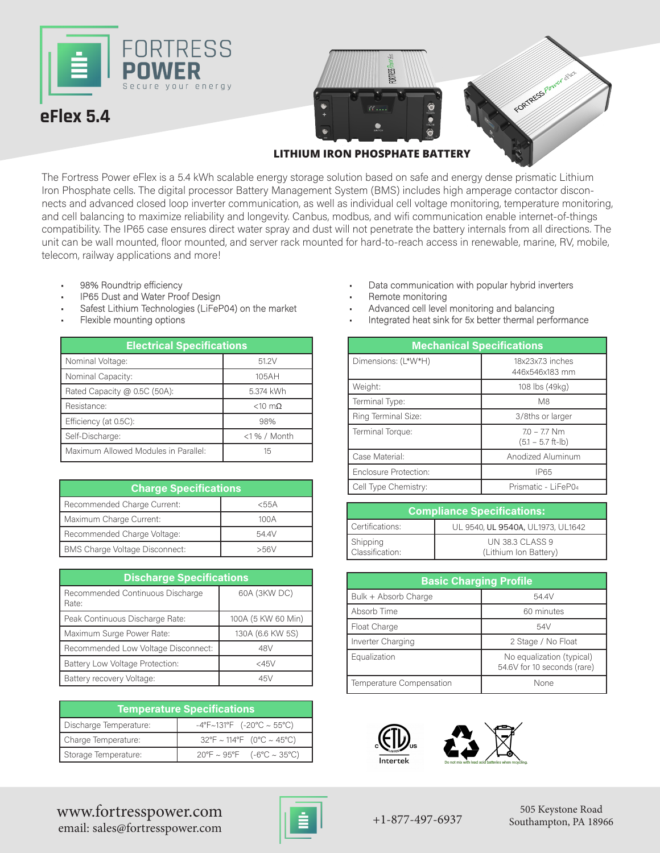



**LITHIUM IRON PHOSPHATE BATTERY**

The Fortress Power eFlex is a 5.4 kWh scalable energy storage solution based on safe and energy dense prismatic Lithium Iron Phosphate cells. The digital processor Battery Management System (BMS) includes high amperage contactor disconnects and advanced closed loop inverter communication, as well as individual cell voltage monitoring, temperature monitoring, and cell balancing to maximize reliability and longevity. Canbus, modbus, and wifi communication enable internet-of-things compatibility. The IP65 case ensures direct water spray and dust will not penetrate the battery internals from all directions. The unit can be wall mounted, floor mounted, and server rack mounted for hard-to-reach access in renewable, marine, RV, mobile, telecom, railway applications and more!

- 98% Roundtrip efficiency
- IP65 Dust and Water Proof Design
- Safest Lithium Technologies (LiFeP04) on the market
- Flexible mounting options

| <b>Electrical Specifications</b>     |                   |  |
|--------------------------------------|-------------------|--|
| Nominal Voltage:                     | 51.2V             |  |
| Nominal Capacity:                    | 105AH             |  |
| Rated Capacity @ 0.5C (50A):         | 5.374 kWh         |  |
| Resistance:                          | $<$ 10 m $\Omega$ |  |
| Efficiency (at 0.5C):                | 98%               |  |
| Self-Discharge:                      | <1 % / Month      |  |
| Maximum Allowed Modules in Parallel: | 15                |  |

| <b>Charge Specifications</b>          |         |  |
|---------------------------------------|---------|--|
| Recommended Charge Current:           | $<$ 55A |  |
| Maximum Charge Current:               | 100A    |  |
| Recommended Charge Voltage:           | 54.4V   |  |
| <b>BMS Charge Voltage Disconnect:</b> | >56V    |  |

| <b>Discharge Specifications</b>           |                    |  |  |
|-------------------------------------------|--------------------|--|--|
| Recommended Continuous Discharge<br>Rate: | 60A (3KW DC)       |  |  |
| Peak Continuous Discharge Rate:           | 100A (5 KW 60 Min) |  |  |
| Maximum Surge Power Rate:                 | 130A (6.6 KW 5S)   |  |  |
| Recommended Low Voltage Disconnect:       | 48V                |  |  |
| Battery Low Voltage Protection:           | $<$ 45 $\vee$      |  |  |
| Battery recovery Voltage:                 | 45V                |  |  |

| <b>Temperature Specifications</b> |                                                |  |
|-----------------------------------|------------------------------------------------|--|
| Discharge Temperature:            | $-4^{\circ}F \sim 131^{\circ}F$ (-20°C ~ 55°C) |  |
| Charge Temperature:               | $32^{\circ}F \sim 114^{\circ}F$ (0°C ~ 45°C)   |  |
| Storage Temperature:              | $20^{\circ}F \sim 95^{\circ}F$ (-6°C ~ 35°C)   |  |

- Data communication with popular hybrid inverters
- Remote monitoring
- Advanced cell level monitoring and balancing
- Integrated heat sink for 5x better thermal performance

| <b>Iectrical Specifications</b> |                   |                       | <b>Mechanical Specifications</b>      |
|---------------------------------|-------------------|-----------------------|---------------------------------------|
|                                 | 51.2V             | Dimensions: (L*W*H)   | 18x23x7.3 inches                      |
|                                 | 105AH             |                       | 446x546x183 mm                        |
| $0.5C(50A)$ :                   | 5.374 kWh         | Weight:               | 108 lbs (49kg)                        |
|                                 | $<$ 10 m $\Omega$ | Terminal Type:        | M8                                    |
|                                 | 98%               | Ring Terminal Size:   | 3/8ths or larger                      |
|                                 | $<$ 1% / Month    | Terminal Torque:      | $7.0 - 7.7$ Nm<br>$(5.1 - 5.7$ ft-lb) |
| <b>Modules in Parallel:</b>     | 15                | Case Material:        | Anodized Aluminum                     |
|                                 |                   | Enclosure Protection: | <b>IP65</b>                           |
| <b>Charge Specifications</b>    |                   | Cell Type Chemistry:  | Prismatic - LiFeP04                   |

| <b>Compliance Specifications:</b> |                                          |  |
|-----------------------------------|------------------------------------------|--|
| Certifications:                   | UL 9540, UL 9540A, UL1973, UL1642        |  |
| Shipping<br>Classification:       | UN 38.3 CLASS 9<br>(Lithium Ion Battery) |  |

| <b>Basic Charging Profile</b> |                                                          |  |
|-------------------------------|----------------------------------------------------------|--|
| Bulk + Absorb Charge          | 54.4V                                                    |  |
| Absorb Time                   | 60 minutes                                               |  |
| Float Charge                  | 54V                                                      |  |
| Inverter Charging             | 2 Stage / No Float                                       |  |
| Equalization                  | No equalization (typical)<br>54.6V for 10 seconds (rare) |  |
| Temperature Compensation      | None                                                     |  |





www.fortresspower.com  $\begin{array}{|c|c|c|c|c|}\n\hline\n&1 &+1-877-497-6937\n\end{array}$ email: sales@fortresspower.com